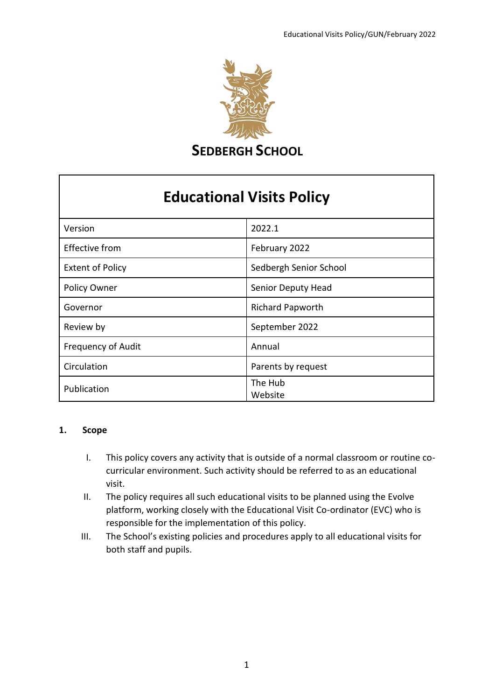

**SEDBERGH SCHOOL** 

# **Educational Visits Policy**

| Version                   | 2022.1                  |
|---------------------------|-------------------------|
| Effective from            | February 2022           |
| <b>Extent of Policy</b>   | Sedbergh Senior School  |
| Policy Owner              | Senior Deputy Head      |
| Governor                  | <b>Richard Papworth</b> |
| Review by                 | September 2022          |
| <b>Frequency of Audit</b> | Annual                  |
| Circulation               | Parents by request      |
| Publication               | The Hub<br>Website      |

#### **1. Scope**

- I. This policy covers any activity that is outside of a normal classroom or routine cocurricular environment. Such activity should be referred to as an educational visit.
- II. The policy requires all such educational visits to be planned using the Evolve platform, working closely with the Educational Visit Co-ordinator (EVC) who is responsible for the implementation of this policy.
- III. The School's existing policies and procedures apply to all educational visits for both staff and pupils.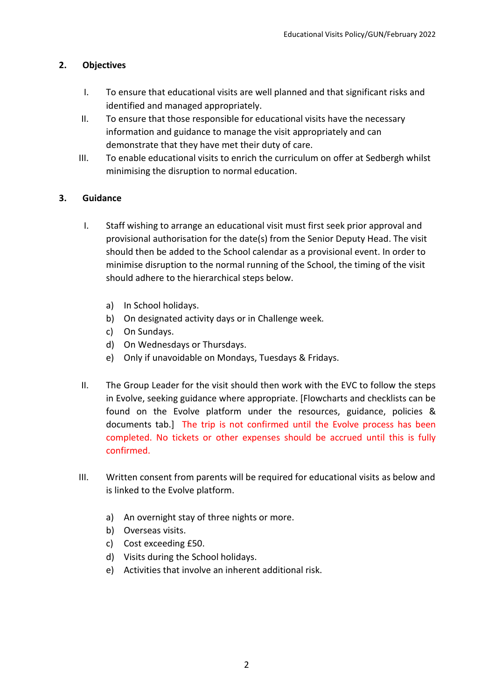## **2. Objectives**

- I. To ensure that educational visits are well planned and that significant risks and identified and managed appropriately.
- II. To ensure that those responsible for educational visits have the necessary information and guidance to manage the visit appropriately and can demonstrate that they have met their duty of care.
- III. To enable educational visits to enrich the curriculum on offer at Sedbergh whilst minimising the disruption to normal education.

## **3. Guidance**

- I. Staff wishing to arrange an educational visit must first seek prior approval and provisional authorisation for the date(s) from the Senior Deputy Head. The visit should then be added to the School calendar as a provisional event. In order to minimise disruption to the normal running of the School, the timing of the visit should adhere to the hierarchical steps below.
	- a) In School holidays.
	- b) On designated activity days or in Challenge week.
	- c) On Sundays.
	- d) On Wednesdays or Thursdays.
	- e) Only if unavoidable on Mondays, Tuesdays & Fridays.
- II. The Group Leader for the visit should then work with the EVC to follow the steps in Evolve, seeking guidance where appropriate. [Flowcharts and checklists can be found on the Evolve platform under the resources, guidance, policies & documents tab.] The trip is not confirmed until the Evolve process has been completed. No tickets or other expenses should be accrued until this is fully confirmed.
- III. Written consent from parents will be required for educational visits as below and is linked to the Evolve platform.
	- a) An overnight stay of three nights or more.
	- b) Overseas visits.
	- c) Cost exceeding £50.
	- d) Visits during the School holidays.
	- e) Activities that involve an inherent additional risk.